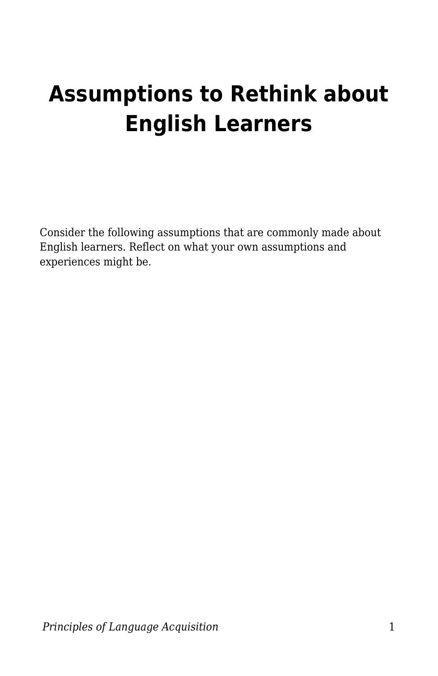## **Assumptions to Rethink about English Learners**

Consider the following assumptions that are commonly made about English learners. Reflect on what your own assumptions and experiences might be.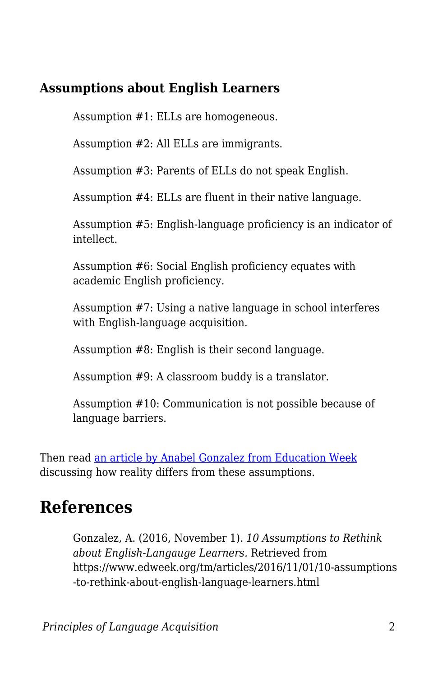## **Assumptions about English Learners**

Assumption #1: ELLs are homogeneous.

Assumption #2: All ELLs are immigrants.

Assumption #3: Parents of ELLs do not speak English.

Assumption #4: ELLs are fluent in their native language.

Assumption #5: English-language proficiency is an indicator of intellect.

Assumption #6: Social English proficiency equates with academic English proficiency.

Assumption #7: Using a native language in school interferes with English-language acquisition.

Assumption #8: English is their second language.

Assumption #9: A classroom buddy is a translator.

Assumption #10: Communication is not possible because of language barriers.

Then read [an article by Anabel Gonzalez from Education Week](https://www.edweek.org/tm/articles/2016/11/01/10-assumptions-to-rethink-about-english-language-learners.html) discussing how reality differs from these assumptions.

## **References**

Gonzalez, A. (2016, November 1). *10 Assumptions to Rethink about English-Langauge Learners.* Retrieved from https://www.edweek.org/tm/articles/2016/11/01/10-assumptions -to-rethink-about-english-language-learners.html